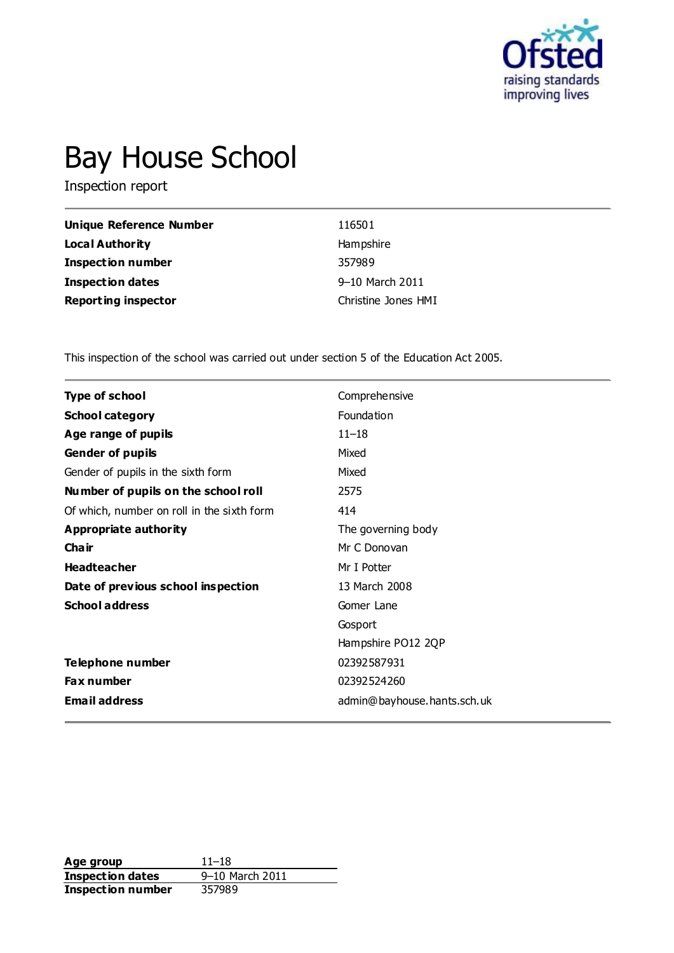

# Bay House School

Inspection report

| Unique Reference Number    | 116501              |
|----------------------------|---------------------|
| <b>Local Authority</b>     | Hampshire           |
| <b>Inspection number</b>   | 357989              |
| <b>Inspection dates</b>    | 9-10 March 2011     |
| <b>Reporting inspector</b> | Christine Jones HMI |

This inspection of the school was carried out under section 5 of the Education Act 2005.

| <b>Type of school</b>                      | Comprehensive               |
|--------------------------------------------|-----------------------------|
| <b>School category</b>                     | Foundation                  |
| Age range of pupils                        | $11 - 18$                   |
| <b>Gender of pupils</b>                    | Mixed                       |
| Gender of pupils in the sixth form         | Mixed                       |
| Number of pupils on the school roll        | 2575                        |
| Of which, number on roll in the sixth form | 414                         |
| <b>Appropriate authority</b>               | The governing body          |
| Cha ir                                     | Mr C Donovan                |
| <b>Headteacher</b>                         | Mr I Potter                 |
| Date of previous school inspection         | 13 March 2008               |
| <b>School address</b>                      | Gomer Lane                  |
|                                            | Gosport                     |
|                                            | Hampshire PO12 2QP          |
| Telephone number                           | 02392587931                 |
| <b>Fax number</b>                          | 02392524260                 |
| <b>Email address</b>                       | admin@bayhouse.hants.sch.uk |

**Age group** 11–18<br> **Inspection dates** 9–10 March 2011 **Inspection dates** 9–10 March 2011 **Inspection number** 357989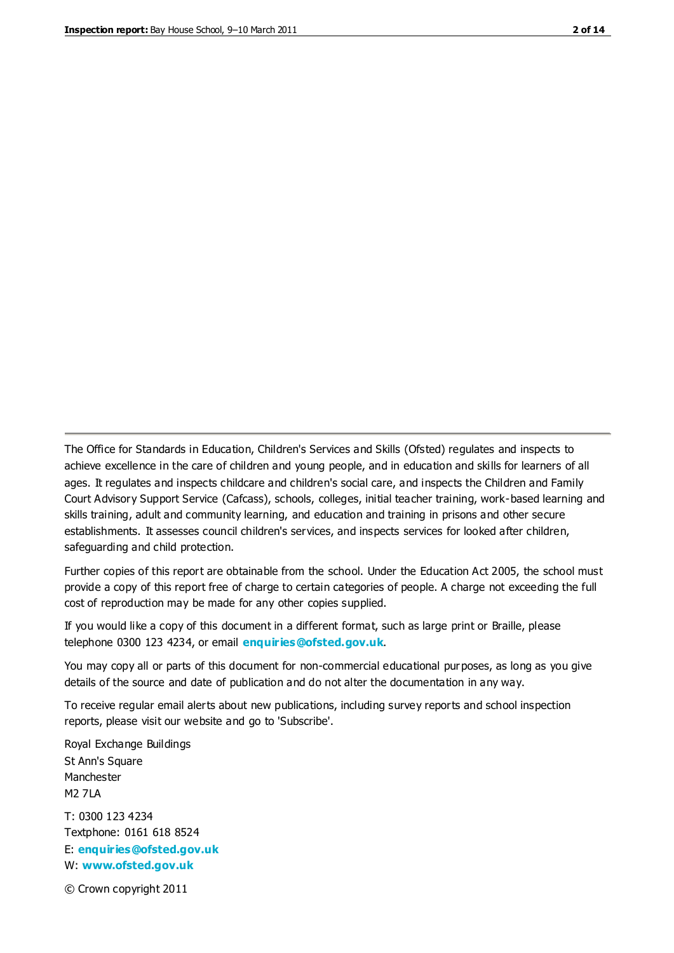The Office for Standards in Education, Children's Services and Skills (Ofsted) regulates and inspects to achieve excellence in the care of children and young people, and in education and skills for learners of all ages. It regulates and inspects childcare and children's social care, and inspects the Children and Family Court Advisory Support Service (Cafcass), schools, colleges, initial teacher training, work-based learning and skills training, adult and community learning, and education and training in prisons and other secure establishments. It assesses council children's services, and inspects services for looked after children, safeguarding and child protection.

Further copies of this report are obtainable from the school. Under the Education Act 2005, the school must provide a copy of this report free of charge to certain categories of people. A charge not exceeding the full cost of reproduction may be made for any other copies supplied.

If you would like a copy of this document in a different format, such as large print or Braille, please telephone 0300 123 4234, or email **[enquiries@ofsted.gov.uk](mailto:enquiries@ofsted.gov.uk)**.

You may copy all or parts of this document for non-commercial educational purposes, as long as you give details of the source and date of publication and do not alter the documentation in any way.

To receive regular email alerts about new publications, including survey reports and school inspection reports, please visit our website and go to 'Subscribe'.

Royal Exchange Buildings St Ann's Square Manchester M2 7LA T: 0300 123 4234 Textphone: 0161 618 8524 E: **[enquiries@ofsted.gov.uk](mailto:enquiries@ofsted.gov.uk)**

W: **[www.ofsted.gov.uk](http://www.ofsted.gov.uk/)**

© Crown copyright 2011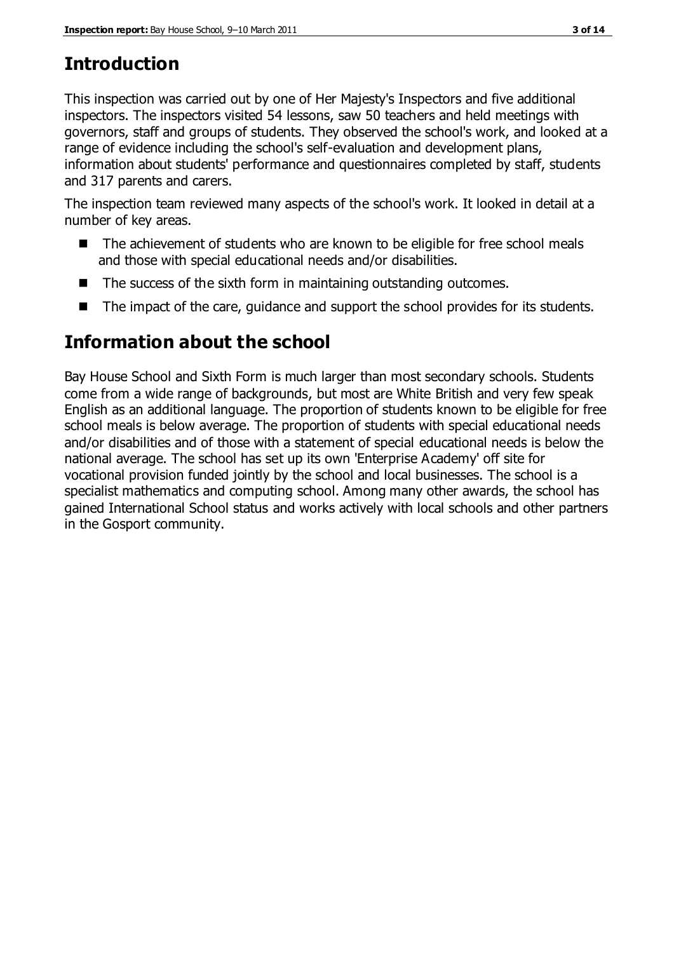## **Introduction**

This inspection was carried out by one of Her Majesty's Inspectors and five additional inspectors. The inspectors visited 54 lessons, saw 50 teachers and held meetings with governors, staff and groups of students. They observed the school's work, and looked at a range of evidence including the school's self-evaluation and development plans, information about students' performance and questionnaires completed by staff, students and 317 parents and carers.

The inspection team reviewed many aspects of the school's work. It looked in detail at a number of key areas.

- The achievement of students who are known to be eligible for free school meals and those with special educational needs and/or disabilities.
- The success of the sixth form in maintaining outstanding outcomes.
- The impact of the care, quidance and support the school provides for its students.

## **Information about the school**

Bay House School and Sixth Form is much larger than most secondary schools. Students come from a wide range of backgrounds, but most are White British and very few speak English as an additional language. The proportion of students known to be eligible for free school meals is below average. The proportion of students with special educational needs and/or disabilities and of those with a statement of special educational needs is below the national average. The school has set up its own 'Enterprise Academy' off site for vocational provision funded jointly by the school and local businesses. The school is a specialist mathematics and computing school. Among many other awards, the school has gained International School status and works actively with local schools and other partners in the Gosport community.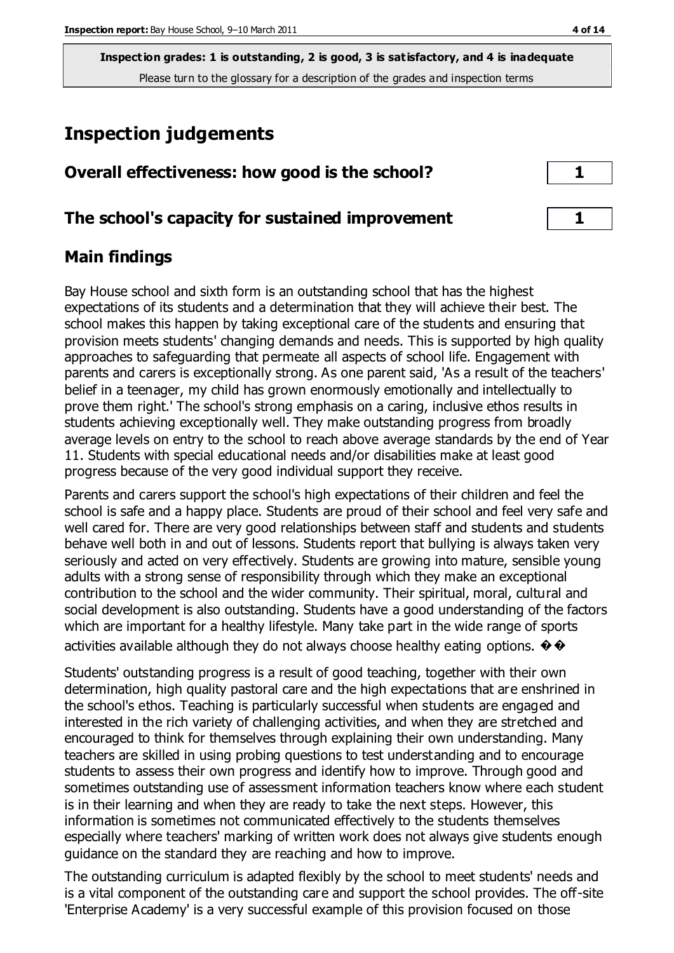## **Inspection judgements**

| Overall effectiveness: how good is the school?  |  |
|-------------------------------------------------|--|
| The school's capacity for sustained improvement |  |

### **Main findings**

Bay House school and sixth form is an outstanding school that has the highest expectations of its students and a determination that they will achieve their best. The school makes this happen by taking exceptional care of the students and ensuring that provision meets students' changing demands and needs. This is supported by high quality approaches to safeguarding that permeate all aspects of school life. Engagement with parents and carers is exceptionally strong. As one parent said, 'As a result of the teachers' belief in a teenager, my child has grown enormously emotionally and intellectually to prove them right.' The school's strong emphasis on a caring, inclusive ethos results in students achieving exceptionally well. They make outstanding progress from broadly average levels on entry to the school to reach above average standards by the end of Year 11. Students with special educational needs and/or disabilities make at least good progress because of the very good individual support they receive.

Parents and carers support the school's high expectations of their children and feel the school is safe and a happy place. Students are proud of their school and feel very safe and well cared for. There are very good relationships between staff and students and students behave well both in and out of lessons. Students report that bullying is always taken very seriously and acted on very effectively. Students are growing into mature, sensible young adults with a strong sense of responsibility through which they make an exceptional contribution to the school and the wider community. Their spiritual, moral, cultural and social development is also outstanding. Students have a good understanding of the factors which are important for a healthy lifestyle. Many take part in the wide range of sports activities available although they do not always choose healthy eating options.  $\diamondsuit$ 

Students' outstanding progress is a result of good teaching, together with their own determination, high quality pastoral care and the high expectations that are enshrined in the school's ethos. Teaching is particularly successful when students are engaged and interested in the rich variety of challenging activities, and when they are stretched and encouraged to think for themselves through explaining their own understanding. Many teachers are skilled in using probing questions to test understanding and to encourage students to assess their own progress and identify how to improve. Through good and sometimes outstanding use of assessment information teachers know where each student is in their learning and when they are ready to take the next steps. However, this information is sometimes not communicated effectively to the students themselves especially where teachers' marking of written work does not always give students enough guidance on the standard they are reaching and how to improve.

The outstanding curriculum is adapted flexibly by the school to meet students' needs and is a vital component of the outstanding care and support the school provides. The off-site 'Enterprise Academy' is a very successful example of this provision focused on those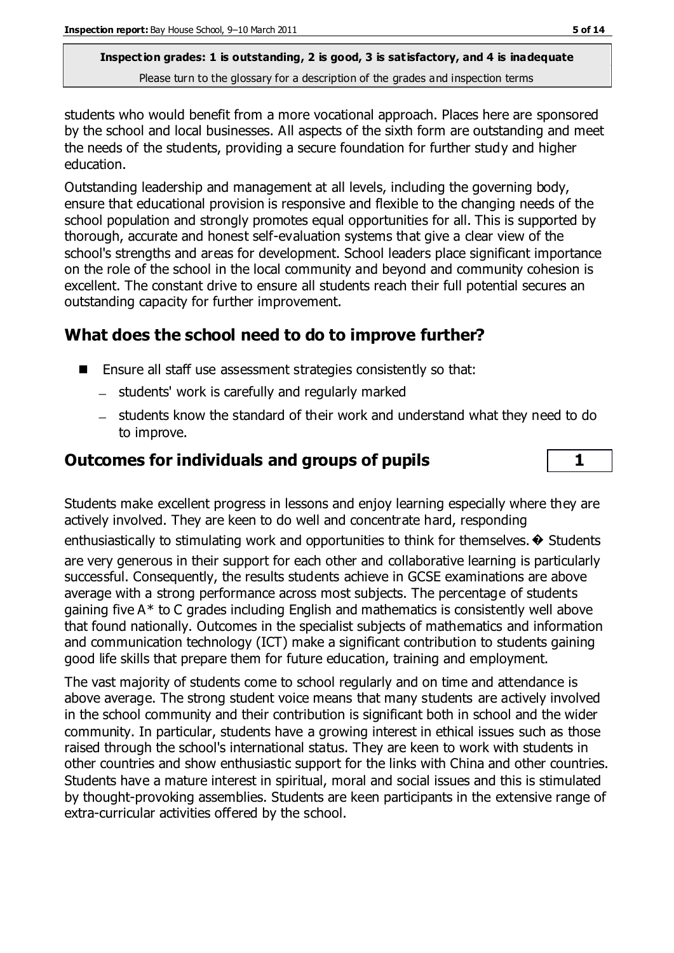students who would benefit from a more vocational approach. Places here are sponsored by the school and local businesses. All aspects of the sixth form are outstanding and meet the needs of the students, providing a secure foundation for further study and higher education.

Outstanding leadership and management at all levels, including the governing body, ensure that educational provision is responsive and flexible to the changing needs of the school population and strongly promotes equal opportunities for all. This is supported by thorough, accurate and honest self-evaluation systems that give a clear view of the school's strengths and areas for development. School leaders place significant importance on the role of the school in the local community and beyond and community cohesion is excellent. The constant drive to ensure all students reach their full potential secures an outstanding capacity for further improvement.

## **What does the school need to do to improve further?**

- Ensure all staff use assessment strategies consistently so that:
	- students' work is carefully and regularly marked
	- students know the standard of their work and understand what they need to do to improve.

## **Outcomes for individuals and groups of pupils 1**

Students make excellent progress in lessons and enjoy learning especially where they are actively involved. They are keen to do well and concentrate hard, responding enthusiastically to stimulating work and opportunities to think for themselves.  $\diamond$  Students are very generous in their support for each other and collaborative learning is particularly successful. Consequently, the results students achieve in GCSE examinations are above average with a strong performance across most subjects. The percentage of students gaining five A\* to C grades including English and mathematics is consistently well above that found nationally. Outcomes in the specialist subjects of mathematics and information and communication technology (ICT) make a significant contribution to students gaining good life skills that prepare them for future education, training and employment.

The vast majority of students come to school regularly and on time and attendance is above average. The strong student voice means that many students are actively involved in the school community and their contribution is significant both in school and the wider community. In particular, students have a growing interest in ethical issues such as those raised through the school's international status. They are keen to work with students in other countries and show enthusiastic support for the links with China and other countries. Students have a mature interest in spiritual, moral and social issues and this is stimulated by thought-provoking assemblies. Students are keen participants in the extensive range of extra-curricular activities offered by the school.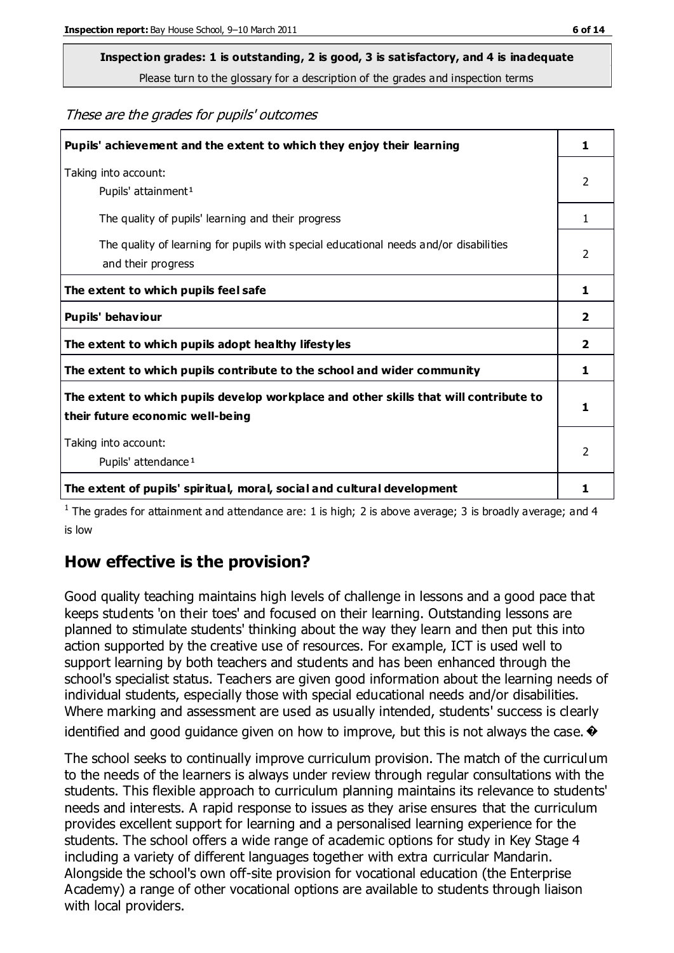## **Inspection grades: 1 is outstanding, 2 is good, 3 is satisfactory, and 4 is inadequate**

Please turn to the glossary for a description of the grades and inspection terms

These are the grades for pupils' outcomes

| Pupils' achievement and the extent to which they enjoy their learning                                                     | 1              |
|---------------------------------------------------------------------------------------------------------------------------|----------------|
| Taking into account:<br>Pupils' attainment <sup>1</sup>                                                                   | 2              |
| The quality of pupils' learning and their progress                                                                        | 1              |
| The quality of learning for pupils with special educational needs and/or disabilities<br>and their progress               | $\overline{2}$ |
| The extent to which pupils feel safe                                                                                      | 1              |
| Pupils' behaviour                                                                                                         | 2              |
| The extent to which pupils adopt healthy lifestyles                                                                       | 2              |
| The extent to which pupils contribute to the school and wider community                                                   | 1              |
| The extent to which pupils develop workplace and other skills that will contribute to<br>their future economic well-being |                |
| Taking into account:<br>Pupils' attendance <sup>1</sup>                                                                   | $\mathfrak{p}$ |
| The extent of pupils' spiritual, moral, social and cultural development                                                   | 1              |

<sup>1</sup> The grades for attainment and attendance are: 1 is high; 2 is above average; 3 is broadly average; and 4 is low

### **How effective is the provision?**

Good quality teaching maintains high levels of challenge in lessons and a good pace that keeps students 'on their toes' and focused on their learning. Outstanding lessons are planned to stimulate students' thinking about the way they learn and then put this into action supported by the creative use of resources. For example, ICT is used well to support learning by both teachers and students and has been enhanced through the school's specialist status. Teachers are given good information about the learning needs of individual students, especially those with special educational needs and/or disabilities. Where marking and assessment are used as usually intended, students' success is clearly identified and good guidance given on how to improve, but this is not always the case.  $\bullet$ 

The school seeks to continually improve curriculum provision. The match of the curriculum to the needs of the learners is always under review through regular consultations with the students. This flexible approach to curriculum planning maintains its relevance to students' needs and interests. A rapid response to issues as they arise ensures that the curriculum provides excellent support for learning and a personalised learning experience for the students. The school offers a wide range of academic options for study in Key Stage 4 including a variety of different languages together with extra curricular Mandarin. Alongside the school's own off-site provision for vocational education (the Enterprise Academy) a range of other vocational options are available to students through liaison with local providers.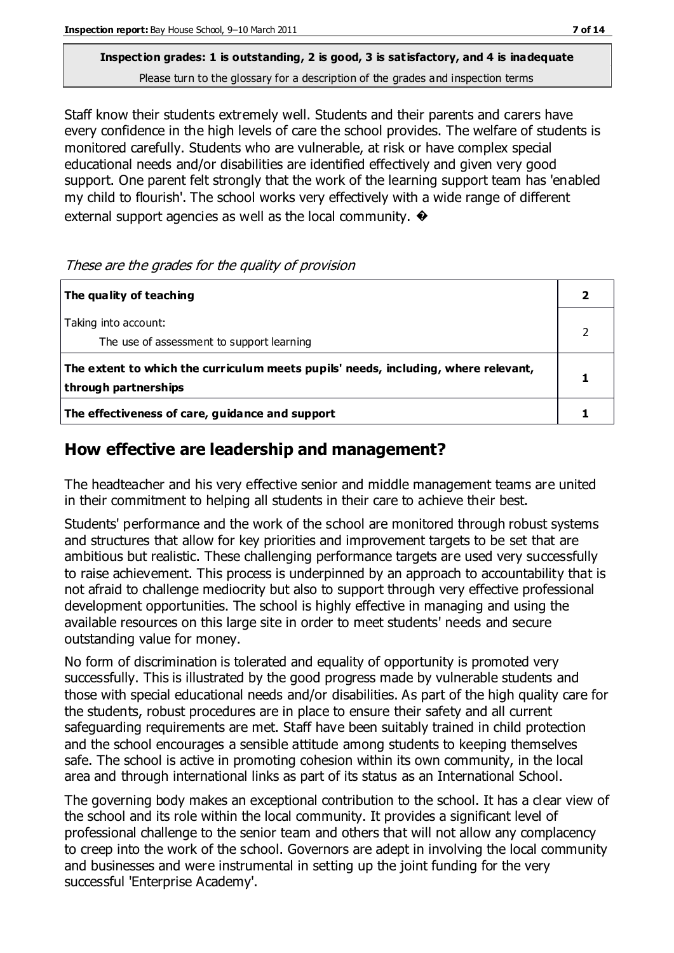Staff know their students extremely well. Students and their parents and carers have every confidence in the high levels of care the school provides. The welfare of students is monitored carefully. Students who are vulnerable, at risk or have complex special educational needs and/or disabilities are identified effectively and given very good support. One parent felt strongly that the work of the learning support team has 'enabled my child to flourish'. The school works very effectively with a wide range of different external support agencies as well as the local community.  $\bullet$ 

#### These are the grades for the quality of provision

| The quality of teaching                                                                                    |  |
|------------------------------------------------------------------------------------------------------------|--|
| Taking into account:<br>The use of assessment to support learning                                          |  |
| The extent to which the curriculum meets pupils' needs, including, where relevant,<br>through partnerships |  |
| The effectiveness of care, guidance and support                                                            |  |

## **How effective are leadership and management?**

The headteacher and his very effective senior and middle management teams are united in their commitment to helping all students in their care to achieve their best.

Students' performance and the work of the school are monitored through robust systems and structures that allow for key priorities and improvement targets to be set that are ambitious but realistic. These challenging performance targets are used very successfully to raise achievement. This process is underpinned by an approach to accountability that is not afraid to challenge mediocrity but also to support through very effective professional development opportunities. The school is highly effective in managing and using the available resources on this large site in order to meet students' needs and secure outstanding value for money.

No form of discrimination is tolerated and equality of opportunity is promoted very successfully. This is illustrated by the good progress made by vulnerable students and those with special educational needs and/or disabilities. As part of the high quality care for the students, robust procedures are in place to ensure their safety and all current safeguarding requirements are met. Staff have been suitably trained in child protection and the school encourages a sensible attitude among students to keeping themselves safe. The school is active in promoting cohesion within its own community, in the local area and through international links as part of its status as an International School.

The governing body makes an exceptional contribution to the school. It has a clear view of the school and its role within the local community. It provides a significant level of professional challenge to the senior team and others that will not allow any complacency to creep into the work of the school. Governors are adept in involving the local community and businesses and were instrumental in setting up the joint funding for the very successful 'Enterprise Academy'.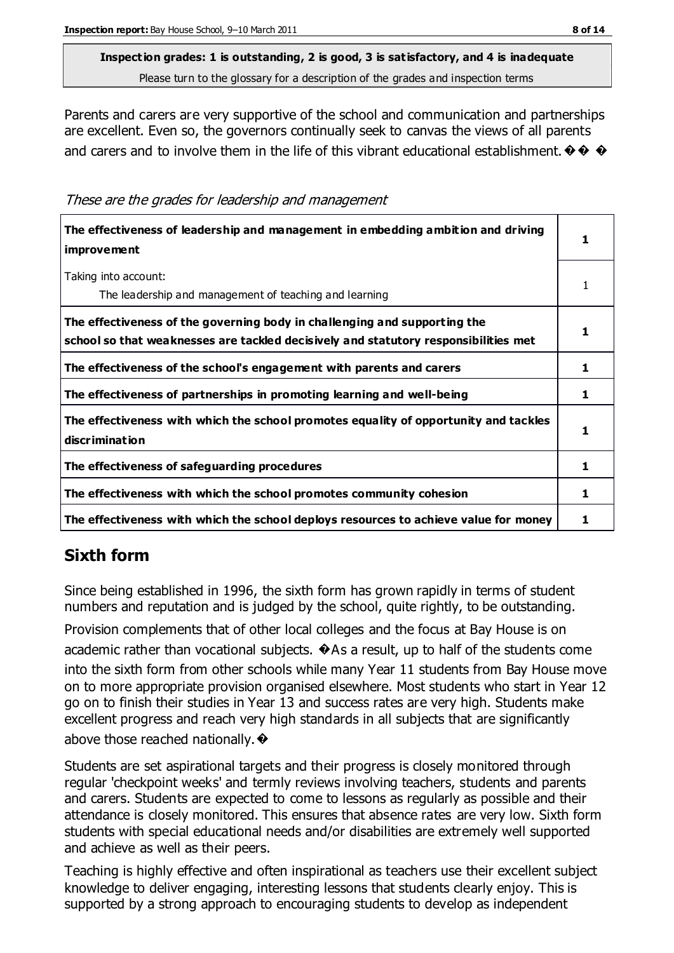Parents and carers are very supportive of the school and communication and partnerships are excellent. Even so, the governors continually seek to canvas the views of all parents and carers and to involve them in the life of this vibrant educational establishment.  $\diamondsuit \diamondsuit \blacklozenge$ 

These are the grades for leadership and management

| The effectiveness of leadership and management in embedding ambition and driving<br><i>improvement</i>                                                           |    |
|------------------------------------------------------------------------------------------------------------------------------------------------------------------|----|
| Taking into account:<br>The leadership and management of teaching and learning                                                                                   |    |
| The effectiveness of the governing body in challenging and supporting the<br>school so that weaknesses are tackled decisively and statutory responsibilities met |    |
| The effectiveness of the school's engagement with parents and carers                                                                                             | 1. |
| The effectiveness of partnerships in promoting learning and well-being                                                                                           |    |
| The effectiveness with which the school promotes equality of opportunity and tackles<br>discrimination                                                           |    |
| The effectiveness of safeguarding procedures                                                                                                                     | 1  |
| The effectiveness with which the school promotes community cohesion                                                                                              | 1  |
| The effectiveness with which the school deploys resources to achieve value for money                                                                             |    |

## **Sixth form**

Since being established in 1996, the sixth form has grown rapidly in terms of student numbers and reputation and is judged by the school, quite rightly, to be outstanding.

Provision complements that of other local colleges and the focus at Bay House is on academic rather than vocational subjects.  $\bigcirc$  As a result, up to half of the students come into the sixth form from other schools while many Year 11 students from Bay House move on to more appropriate provision organised elsewhere. Most students who start in Year 12 go on to finish their studies in Year 13 and success rates are very high. Students make excellent progress and reach very high standards in all subjects that are significantly above those reached nationally.  $\bullet$ 

Students are set aspirational targets and their progress is closely monitored through regular 'checkpoint weeks' and termly reviews involving teachers, students and parents and carers. Students are expected to come to lessons as regularly as possible and their attendance is closely monitored. This ensures that absence rates are very low. Sixth form students with special educational needs and/or disabilities are extremely well supported and achieve as well as their peers.

Teaching is highly effective and often inspirational as teachers use their excellent subject knowledge to deliver engaging, interesting lessons that students clearly enjoy. This is supported by a strong approach to encouraging students to develop as independent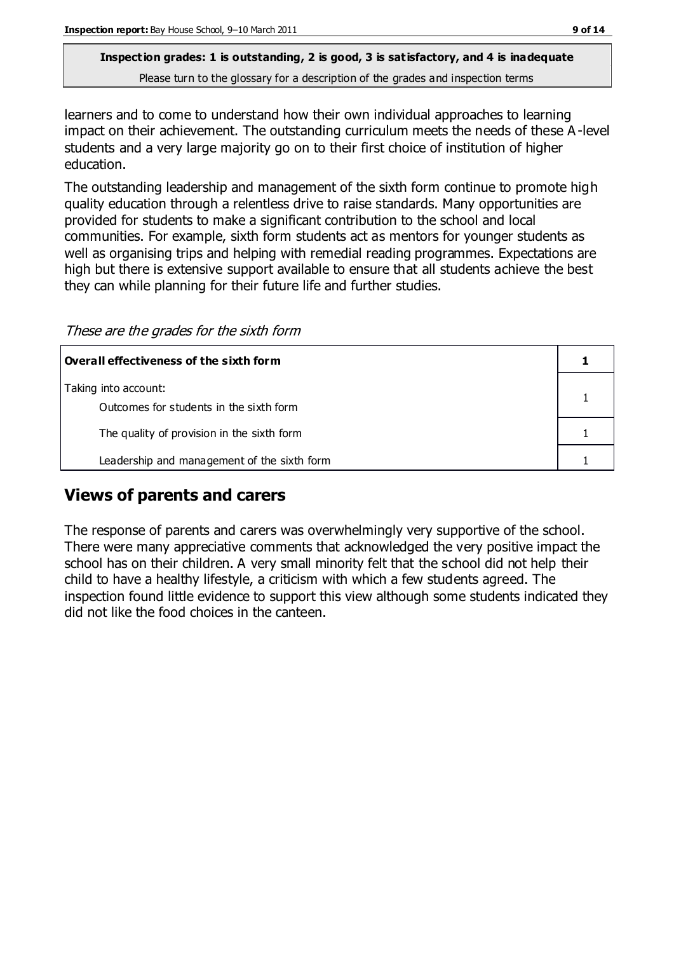learners and to come to understand how their own individual approaches to learning impact on their achievement. The outstanding curriculum meets the needs of these A -level students and a very large majority go on to their first choice of institution of higher education.

The outstanding leadership and management of the sixth form continue to promote high quality education through a relentless drive to raise standards. Many opportunities are provided for students to make a significant contribution to the school and local communities. For example, sixth form students act as mentors for younger students as well as organising trips and helping with remedial reading programmes. Expectations are high but there is extensive support available to ensure that all students achieve the best they can while planning for their future life and further studies.

These are the grades for the sixth form

| $\mid$ Overall effectiveness of the sixth form                  |  |
|-----------------------------------------------------------------|--|
| Taking into account:<br>Outcomes for students in the sixth form |  |
| The quality of provision in the sixth form                      |  |
| Leadership and management of the sixth form                     |  |

### **Views of parents and carers**

The response of parents and carers was overwhelmingly very supportive of the school. There were many appreciative comments that acknowledged the very positive impact the school has on their children. A very small minority felt that the school did not help their child to have a healthy lifestyle, a criticism with which a few students agreed. The inspection found little evidence to support this view although some students indicated they did not like the food choices in the canteen.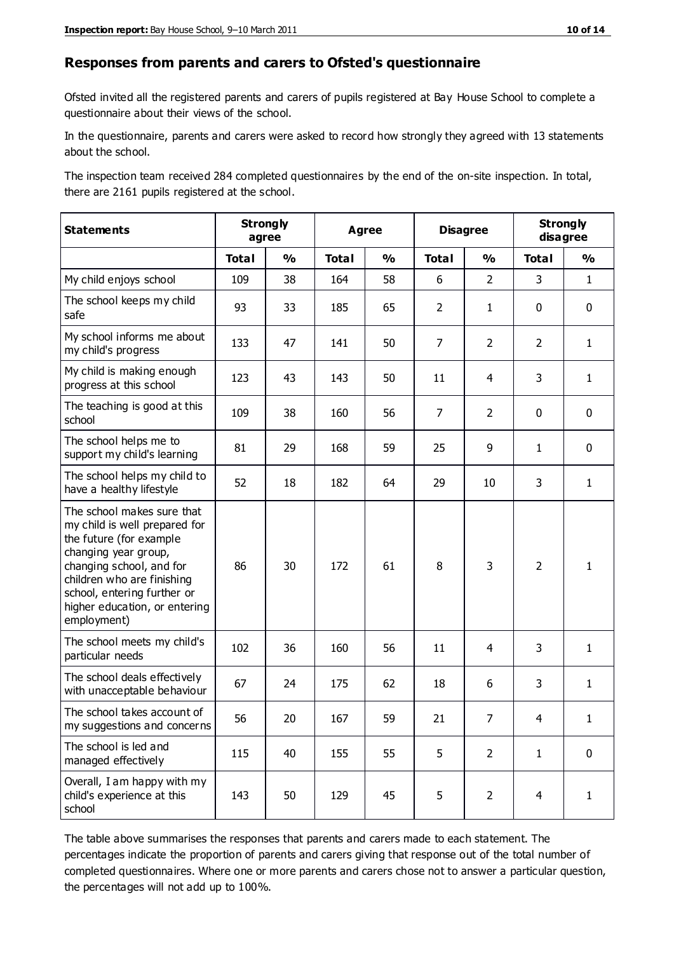#### **Responses from parents and carers to Ofsted's questionnaire**

Ofsted invited all the registered parents and carers of pupils registered at Bay House School to complete a questionnaire about their views of the school.

In the questionnaire, parents and carers were asked to record how strongly they agreed with 13 statements about the school.

The inspection team received 284 completed questionnaires by the end of the on-site inspection. In total, there are 2161 pupils registered at the school.

| <b>Statements</b>                                                                                                                                                                                                                                       | <b>Strongly</b><br>agree |               | <b>Agree</b> |               | <b>Disagree</b> |                | <b>Strongly</b><br>disagree |               |
|---------------------------------------------------------------------------------------------------------------------------------------------------------------------------------------------------------------------------------------------------------|--------------------------|---------------|--------------|---------------|-----------------|----------------|-----------------------------|---------------|
|                                                                                                                                                                                                                                                         | <b>Total</b>             | $\frac{1}{2}$ | <b>Total</b> | $\frac{1}{2}$ | <b>Total</b>    | $\frac{1}{2}$  | <b>Total</b>                | $\frac{1}{2}$ |
| My child enjoys school                                                                                                                                                                                                                                  | 109                      | 38            | 164          | 58            | 6               | $\overline{2}$ | 3                           | $\mathbf{1}$  |
| The school keeps my child<br>safe                                                                                                                                                                                                                       | 93                       | 33            | 185          | 65            | $\overline{2}$  | $\mathbf{1}$   | $\mathbf 0$                 | $\mathbf 0$   |
| My school informs me about<br>my child's progress                                                                                                                                                                                                       | 133                      | 47            | 141          | 50            | $\overline{7}$  | $\overline{2}$ | $\overline{2}$              | $\mathbf{1}$  |
| My child is making enough<br>progress at this school                                                                                                                                                                                                    | 123                      | 43            | 143          | 50            | 11              | 4              | 3                           | $\mathbf{1}$  |
| The teaching is good at this<br>school                                                                                                                                                                                                                  | 109                      | 38            | 160          | 56            | 7               | $\overline{2}$ | $\mathbf 0$                 | $\mathbf 0$   |
| The school helps me to<br>support my child's learning                                                                                                                                                                                                   | 81                       | 29            | 168          | 59            | 25              | 9              | $\mathbf{1}$                | $\mathbf 0$   |
| The school helps my child to<br>have a healthy lifestyle                                                                                                                                                                                                | 52                       | 18            | 182          | 64            | 29              | 10             | 3                           | $\mathbf{1}$  |
| The school makes sure that<br>my child is well prepared for<br>the future (for example<br>changing year group,<br>changing school, and for<br>children who are finishing<br>school, entering further or<br>higher education, or entering<br>employment) | 86                       | 30            | 172          | 61            | 8               | 3              | $\overline{2}$              | 1             |
| The school meets my child's<br>particular needs                                                                                                                                                                                                         | 102                      | 36            | 160          | 56            | 11              | 4              | 3                           | $\mathbf{1}$  |
| The school deals effectively<br>with unacceptable behaviour                                                                                                                                                                                             | 67                       | 24            | 175          | 62            | 18              | 6              | 3                           | $\mathbf{1}$  |
| The school takes account of<br>my suggestions and concerns                                                                                                                                                                                              | 56                       | 20            | 167          | 59            | 21              | 7              | 4                           | 1             |
| The school is led and<br>managed effectively                                                                                                                                                                                                            | 115                      | 40            | 155          | 55            | 5               | $\overline{2}$ | $\mathbf{1}$                | $\mathbf 0$   |
| Overall, I am happy with my<br>child's experience at this<br>school                                                                                                                                                                                     | 143                      | 50            | 129          | 45            | 5               | $\overline{2}$ | 4                           | $\mathbf{1}$  |

The table above summarises the responses that parents and carers made to each statement. The percentages indicate the proportion of parents and carers giving that response out of the total number of completed questionnaires. Where one or more parents and carers chose not to answer a particular question, the percentages will not add up to 100%.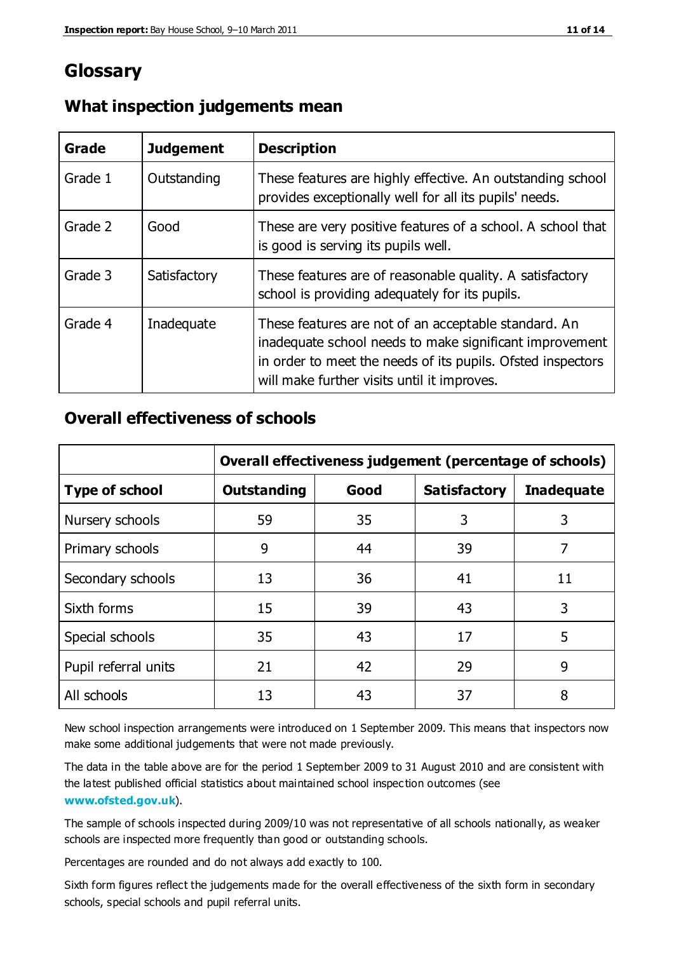## **Glossary**

| Grade   | <b>Judgement</b> | <b>Description</b>                                                                                                                                                                                                            |
|---------|------------------|-------------------------------------------------------------------------------------------------------------------------------------------------------------------------------------------------------------------------------|
| Grade 1 | Outstanding      | These features are highly effective. An outstanding school<br>provides exceptionally well for all its pupils' needs.                                                                                                          |
| Grade 2 | Good             | These are very positive features of a school. A school that<br>is good is serving its pupils well.                                                                                                                            |
| Grade 3 | Satisfactory     | These features are of reasonable quality. A satisfactory<br>school is providing adequately for its pupils.                                                                                                                    |
| Grade 4 | Inadequate       | These features are not of an acceptable standard. An<br>inadequate school needs to make significant improvement<br>in order to meet the needs of its pupils. Ofsted inspectors<br>will make further visits until it improves. |

#### **What inspection judgements mean**

#### **Overall effectiveness of schools**

|                       | Overall effectiveness judgement (percentage of schools) |      |                     |                   |
|-----------------------|---------------------------------------------------------|------|---------------------|-------------------|
| <b>Type of school</b> | <b>Outstanding</b>                                      | Good | <b>Satisfactory</b> | <b>Inadequate</b> |
| Nursery schools       | 59                                                      | 35   | 3                   | 3                 |
| Primary schools       | 9                                                       | 44   | 39                  | 7                 |
| Secondary schools     | 13                                                      | 36   | 41                  | 11                |
| Sixth forms           | 15                                                      | 39   | 43                  | 3                 |
| Special schools       | 35                                                      | 43   | 17                  | 5                 |
| Pupil referral units  | 21                                                      | 42   | 29                  | 9                 |
| All schools           | 13                                                      | 43   | 37                  | 8                 |

New school inspection arrangements were introduced on 1 September 2009. This means that inspectors now make some additional judgements that were not made previously.

The data in the table above are for the period 1 September 2009 to 31 August 2010 and are consistent with the latest published official statistics about maintained school inspec tion outcomes (see **[www.ofsted.gov.uk](http://www.ofsted.gov.uk/)**).

The sample of schools inspected during 2009/10 was not representative of all schools nationally, as weaker schools are inspected more frequently than good or outstanding schools.

Percentages are rounded and do not always add exactly to 100.

Sixth form figures reflect the judgements made for the overall effectiveness of the sixth form in secondary schools, special schools and pupil referral units.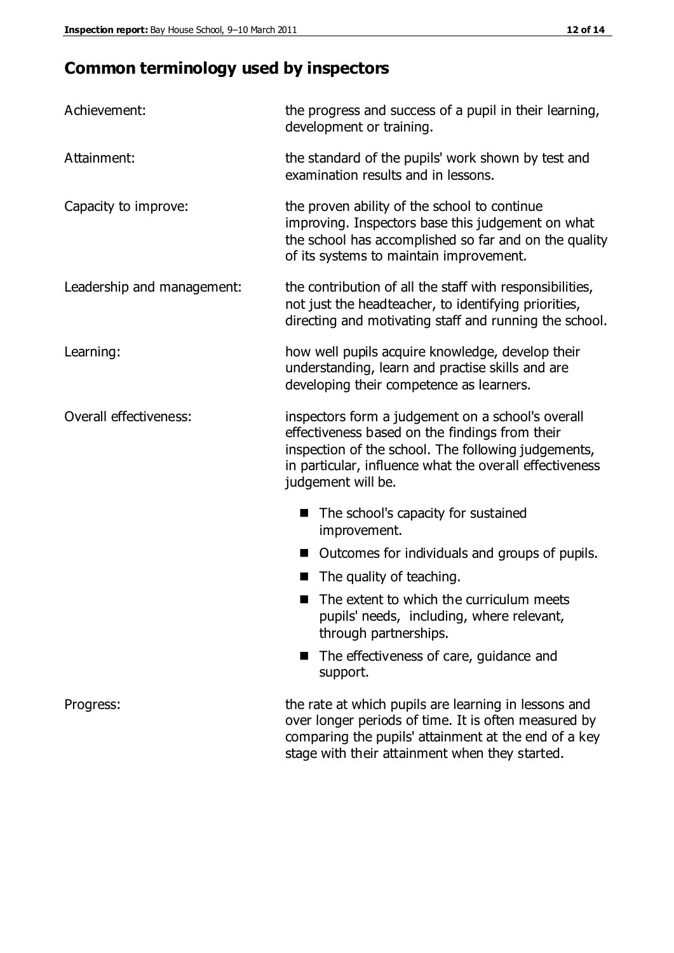## **Common terminology used by inspectors**

| Achievement:               | the progress and success of a pupil in their learning,<br>development or training.                                                                                                                                                          |
|----------------------------|---------------------------------------------------------------------------------------------------------------------------------------------------------------------------------------------------------------------------------------------|
| Attainment:                | the standard of the pupils' work shown by test and<br>examination results and in lessons.                                                                                                                                                   |
| Capacity to improve:       | the proven ability of the school to continue<br>improving. Inspectors base this judgement on what<br>the school has accomplished so far and on the quality<br>of its systems to maintain improvement.                                       |
| Leadership and management: | the contribution of all the staff with responsibilities,<br>not just the headteacher, to identifying priorities,<br>directing and motivating staff and running the school.                                                                  |
| Learning:                  | how well pupils acquire knowledge, develop their<br>understanding, learn and practise skills and are<br>developing their competence as learners.                                                                                            |
| Overall effectiveness:     | inspectors form a judgement on a school's overall<br>effectiveness based on the findings from their<br>inspection of the school. The following judgements,<br>in particular, influence what the overall effectiveness<br>judgement will be. |
|                            | The school's capacity for sustained<br>improvement.                                                                                                                                                                                         |
|                            | Outcomes for individuals and groups of pupils.                                                                                                                                                                                              |
|                            | The quality of teaching.                                                                                                                                                                                                                    |
|                            | The extent to which the curriculum meets<br>pupils' needs, including, where relevant,<br>through partnerships.                                                                                                                              |
|                            | The effectiveness of care, guidance and<br>support.                                                                                                                                                                                         |
| Progress:                  | the rate at which pupils are learning in lessons and<br>over longer periods of time. It is often measured by<br>comparing the pupils' attainment at the end of a key                                                                        |

stage with their attainment when they started.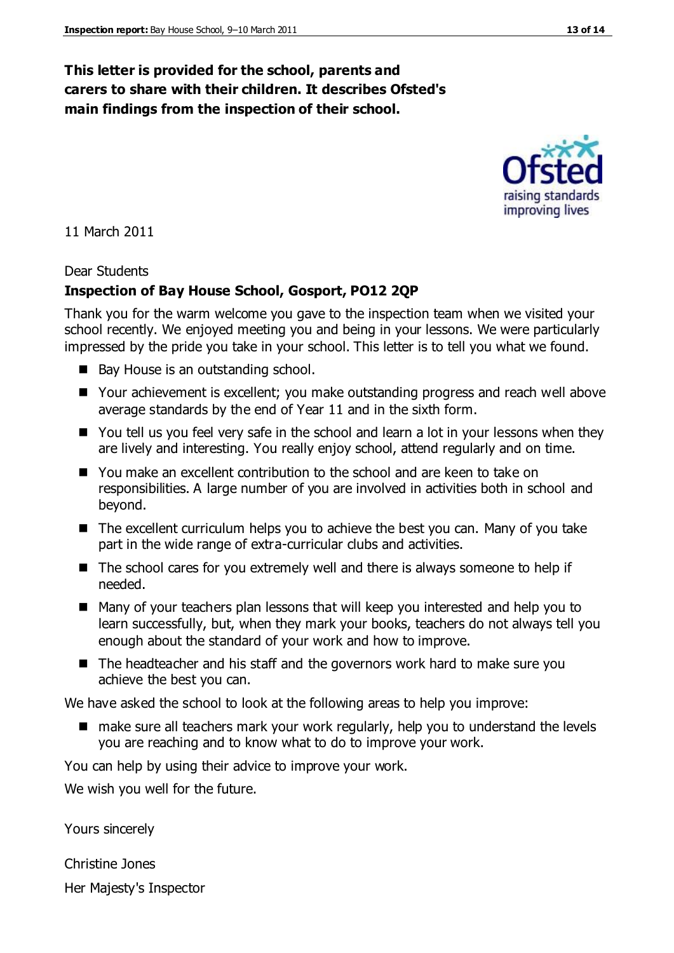#### **This letter is provided for the school, parents and carers to share with their children. It describes Ofsted's main findings from the inspection of their school.**

11 March 2011

#### Dear Students

#### **Inspection of Bay House School, Gosport, PO12 2QP**

Thank you for the warm welcome you gave to the inspection team when we visited your school recently. We enjoyed meeting you and being in your lessons. We were particularly impressed by the pride you take in your school. This letter is to tell you what we found.

- Bay House is an outstanding school.
- Your achievement is excellent; you make outstanding progress and reach well above average standards by the end of Year 11 and in the sixth form.
- You tell us you feel very safe in the school and learn a lot in your lessons when they are lively and interesting. You really enjoy school, attend regularly and on time.
- You make an excellent contribution to the school and are keen to take on responsibilities. A large number of you are involved in activities both in school and beyond.
- $\blacksquare$  The excellent curriculum helps you to achieve the best you can. Many of you take part in the wide range of extra-curricular clubs and activities.
- The school cares for you extremely well and there is always someone to help if needed.
- Many of your teachers plan lessons that will keep you interested and help you to learn successfully, but, when they mark your books, teachers do not always tell you enough about the standard of your work and how to improve.
- The headteacher and his staff and the governors work hard to make sure you achieve the best you can.

We have asked the school to look at the following areas to help you improve:

■ make sure all teachers mark your work regularly, help you to understand the levels you are reaching and to know what to do to improve your work.

You can help by using their advice to improve your work.

We wish you well for the future.

Yours sincerely

Christine Jones Her Majesty's Inspector